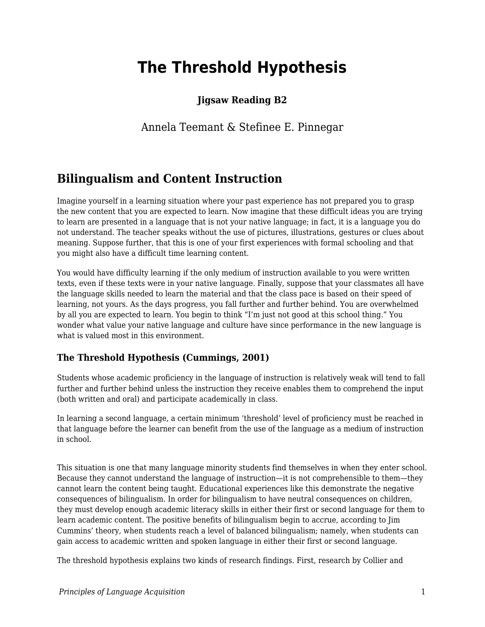# **The Threshold Hypothesis**

### **Jigsaw Reading B2**

### Annela Teemant & Stefinee E. Pinnegar

## **Bilingualism and Content Instruction**

Imagine yourself in a learning situation where your past experience has not prepared you to grasp the new content that you are expected to learn. Now imagine that these difficult ideas you are trying to learn are presented in a language that is not your native language; in fact, it is a language you do not understand. The teacher speaks without the use of pictures, illustrations, gestures or clues about meaning. Suppose further, that this is one of your first experiences with formal schooling and that you might also have a difficult time learning content.

You would have difficulty learning if the only medium of instruction available to you were written texts, even if these texts were in your native language. Finally, suppose that your classmates all have the language skills needed to learn the material and that the class pace is based on their speed of learning, not yours. As the days progress, you fall further and further behind. You are overwhelmed by all you are expected to learn. You begin to think "I'm just not good at this school thing." You wonder what value your native language and culture have since performance in the new language is what is valued most in this environment.

#### **The Threshold Hypothesis (Cummings, 2001)**

Students whose academic proficiency in the language of instruction is relatively weak will tend to fall further and further behind unless the instruction they receive enables them to comprehend the input (both written and oral) and participate academically in class.

In learning a second language, a certain minimum 'threshold' level of proficiency must be reached in that language before the learner can benefit from the use of the language as a medium of instruction in school.

This situation is one that many language minority students find themselves in when they enter school. Because they cannot understand the language of instruction—it is not comprehensible to them—they cannot learn the content being taught. Educational experiences like this demonstrate the negative consequences of bilingualism. In order for bilingualism to have neutral consequences on children, they must develop enough academic literacy skills in either their first or second language for them to learn academic content. The positive benefits of bilingualism begin to accrue, according to Jim Cummins' theory, when students reach a level of balanced bilingualism; namely, when students can gain access to academic written and spoken language in either their first or second language.

The threshold hypothesis explains two kinds of research findings. First, research by Collier and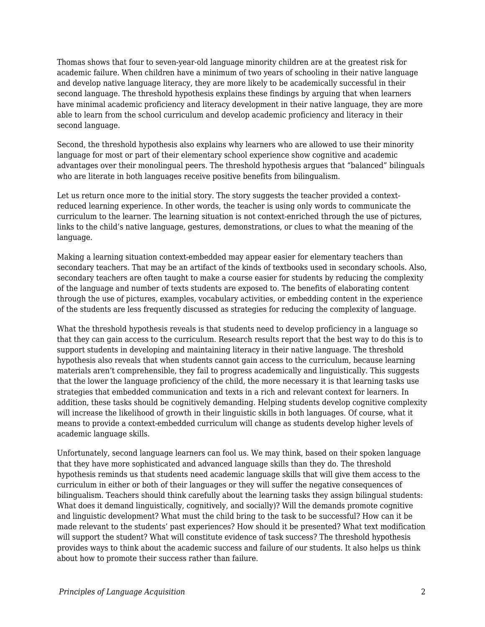Thomas shows that four to seven-year-old language minority children are at the greatest risk for academic failure. When children have a minimum of two years of schooling in their native language and develop native language literacy, they are more likely to be academically successful in their second language. The threshold hypothesis explains these findings by arguing that when learners have minimal academic proficiency and literacy development in their native language, they are more able to learn from the school curriculum and develop academic proficiency and literacy in their second language.

Second, the threshold hypothesis also explains why learners who are allowed to use their minority language for most or part of their elementary school experience show cognitive and academic advantages over their monolingual peers. The threshold hypothesis argues that "balanced" bilinguals who are literate in both languages receive positive benefits from bilingualism.

Let us return once more to the initial story. The story suggests the teacher provided a contextreduced learning experience. In other words, the teacher is using only words to communicate the curriculum to the learner. The learning situation is not context-enriched through the use of pictures, links to the child's native language, gestures, demonstrations, or clues to what the meaning of the language.

Making a learning situation context-embedded may appear easier for elementary teachers than secondary teachers. That may be an artifact of the kinds of textbooks used in secondary schools. Also, secondary teachers are often taught to make a course easier for students by reducing the complexity of the language and number of texts students are exposed to. The benefits of elaborating content through the use of pictures, examples, vocabulary activities, or embedding content in the experience of the students are less frequently discussed as strategies for reducing the complexity of language.

What the threshold hypothesis reveals is that students need to develop proficiency in a language so that they can gain access to the curriculum. Research results report that the best way to do this is to support students in developing and maintaining literacy in their native language. The threshold hypothesis also reveals that when students cannot gain access to the curriculum, because learning materials aren't comprehensible, they fail to progress academically and linguistically. This suggests that the lower the language proficiency of the child, the more necessary it is that learning tasks use strategies that embedded communication and texts in a rich and relevant context for learners. In addition, these tasks should be cognitively demanding. Helping students develop cognitive complexity will increase the likelihood of growth in their linguistic skills in both languages. Of course, what it means to provide a context-embedded curriculum will change as students develop higher levels of academic language skills.

Unfortunately, second language learners can fool us. We may think, based on their spoken language that they have more sophisticated and advanced language skills than they do. The threshold hypothesis reminds us that students need academic language skills that will give them access to the curriculum in either or both of their languages or they will suffer the negative consequences of bilingualism. Teachers should think carefully about the learning tasks they assign bilingual students: What does it demand linguistically, cognitively, and socially)? Will the demands promote cognitive and linguistic development? What must the child bring to the task to be successful? How can it be made relevant to the students' past experiences? How should it be presented? What text modification will support the student? What will constitute evidence of task success? The threshold hypothesis provides ways to think about the academic success and failure of our students. It also helps us think about how to promote their success rather than failure.